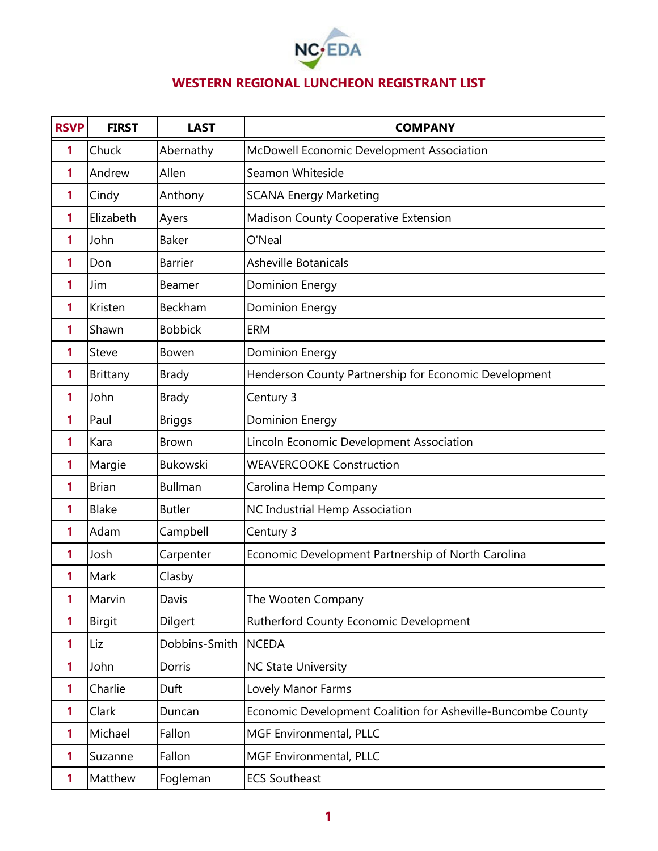

## **WESTERN REGIONAL LUNCHEON REGISTRANT LIST**

| <b>RSVP</b> | <b>FIRST</b>  | <b>LAST</b>     | <b>COMPANY</b>                                               |
|-------------|---------------|-----------------|--------------------------------------------------------------|
| 1           | Chuck         | Abernathy       | McDowell Economic Development Association                    |
| 1           | Andrew        | Allen           | Seamon Whiteside                                             |
| 1           | Cindy         | Anthony         | <b>SCANA Energy Marketing</b>                                |
| 1           | Elizabeth     | Ayers           | <b>Madison County Cooperative Extension</b>                  |
| 1           | John          | <b>Baker</b>    | O'Neal                                                       |
| 1           | Don           | <b>Barrier</b>  | <b>Asheville Botanicals</b>                                  |
| 1           | Jim           | Beamer          | <b>Dominion Energy</b>                                       |
| 1           | Kristen       | Beckham         | <b>Dominion Energy</b>                                       |
| 1           | Shawn         | <b>Bobbick</b>  | <b>ERM</b>                                                   |
| 1           | Steve         | Bowen           | Dominion Energy                                              |
| 1           | Brittany      | <b>Brady</b>    | Henderson County Partnership for Economic Development        |
| 1           | John          | <b>Brady</b>    | Century 3                                                    |
| 1           | Paul          | <b>Briggs</b>   | <b>Dominion Energy</b>                                       |
| 1           | Kara          | <b>Brown</b>    | Lincoln Economic Development Association                     |
| 1           | Margie        | <b>Bukowski</b> | <b>WEAVERCOOKE Construction</b>                              |
| 1           | <b>Brian</b>  | <b>Bullman</b>  | Carolina Hemp Company                                        |
| 1           | <b>Blake</b>  | <b>Butler</b>   | NC Industrial Hemp Association                               |
| 1           | Adam          | Campbell        | Century 3                                                    |
| 1           | Josh          | Carpenter       | Economic Development Partnership of North Carolina           |
| 1           | Mark          | Clasby          |                                                              |
| 1           | Marvin        | Davis           | The Wooten Company                                           |
| 1           | <b>Birgit</b> | Dilgert         | Rutherford County Economic Development                       |
| 1           | Liz           | Dobbins-Smith   | <b>NCEDA</b>                                                 |
| 1           | John          | Dorris          | <b>NC State University</b>                                   |
| 1           | Charlie       | Duft            | Lovely Manor Farms                                           |
| 1           | Clark         | Duncan          | Economic Development Coalition for Asheville-Buncombe County |
| 1           | Michael       | Fallon          | MGF Environmental, PLLC                                      |
| 1           | Suzanne       | Fallon          | MGF Environmental, PLLC                                      |
| 1           | Matthew       | Fogleman        | <b>ECS Southeast</b>                                         |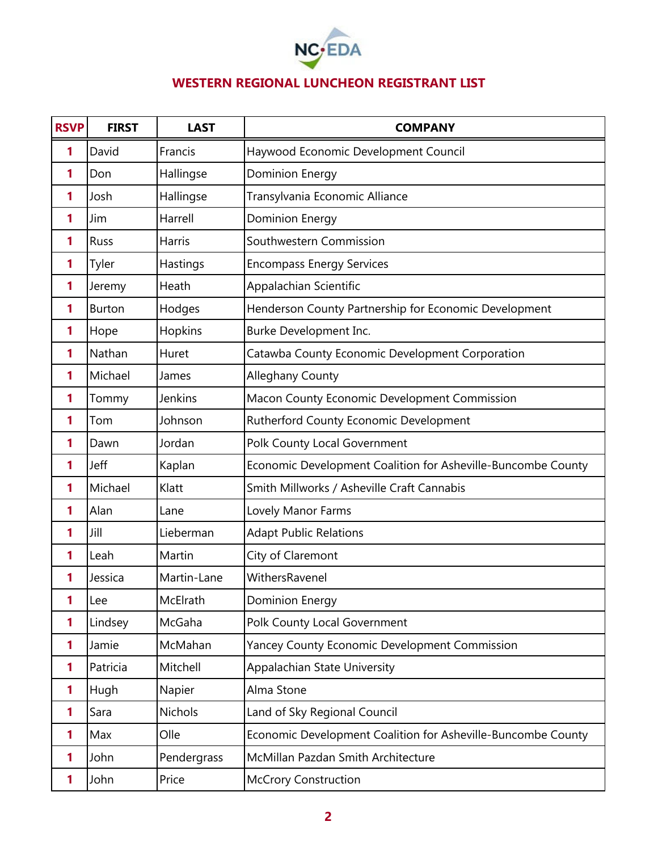

## **WESTERN REGIONAL LUNCHEON REGISTRANT LIST**

| <b>RSVP</b> | <b>FIRST</b> | <b>LAST</b>    | <b>COMPANY</b>                                               |
|-------------|--------------|----------------|--------------------------------------------------------------|
| 1           | David        | Francis        | Haywood Economic Development Council                         |
| 1           | Don          | Hallingse      | <b>Dominion Energy</b>                                       |
| 1           | Josh         | Hallingse      | Transylvania Economic Alliance                               |
| 1           | Jim          | Harrell        | <b>Dominion Energy</b>                                       |
| 1           | <b>Russ</b>  | <b>Harris</b>  | Southwestern Commission                                      |
| 1           | Tyler        | Hastings       | <b>Encompass Energy Services</b>                             |
| 1           | Jeremy       | Heath          | Appalachian Scientific                                       |
| 1           | Burton       | Hodges         | Henderson County Partnership for Economic Development        |
| 1           | Hope         | Hopkins        | Burke Development Inc.                                       |
| 1           | Nathan       | Huret          | Catawba County Economic Development Corporation              |
| 1           | Michael      | James          | Alleghany County                                             |
| 1           | Tommy        | Jenkins        | Macon County Economic Development Commission                 |
| 1           | Tom          | Johnson        | Rutherford County Economic Development                       |
| 1           | Dawn         | Jordan         | Polk County Local Government                                 |
| 1           | Jeff         | Kaplan         | Economic Development Coalition for Asheville-Buncombe County |
| 1           | Michael      | Klatt          | Smith Millworks / Asheville Craft Cannabis                   |
| 1           | Alan         | Lane           | Lovely Manor Farms                                           |
| 1           | Jill         | Lieberman      | <b>Adapt Public Relations</b>                                |
| 1           | Leah         | Martin         | City of Claremont                                            |
| 1           | Jessica      | Martin-Lane    | WithersRavenel                                               |
| 1           | Lee          | McElrath       | <b>Dominion Energy</b>                                       |
| 1           | Lindsey      | McGaha         | Polk County Local Government                                 |
| 1           | Jamie        | McMahan        | <b>Yancey County Economic Development Commission</b>         |
| 1           | Patricia     | Mitchell       | Appalachian State University                                 |
| 1           | Hugh         | Napier         | Alma Stone                                                   |
| 1           | Sara         | <b>Nichols</b> | Land of Sky Regional Council                                 |
| 1           | Max          | Olle           | Economic Development Coalition for Asheville-Buncombe County |
| 1           | John         | Pendergrass    | McMillan Pazdan Smith Architecture                           |
| 1           | John         | Price          | <b>McCrory Construction</b>                                  |